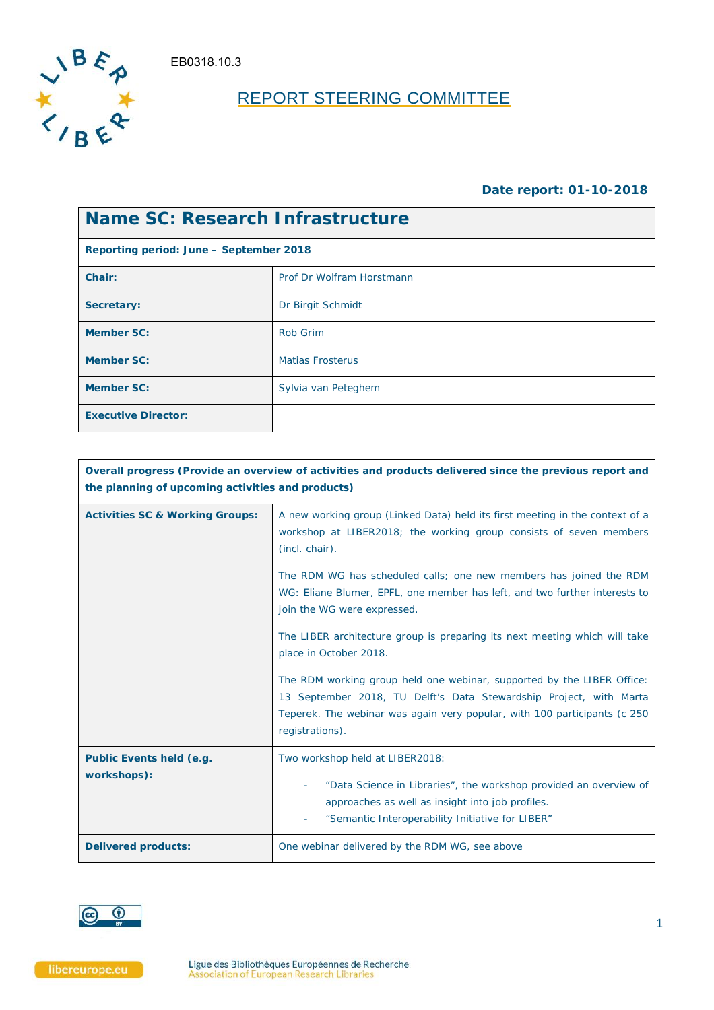EB0318.10.3



# REPORT STEERING COMMITTEE

### **Date report: 01-10-2018**

| <b>Name SC: Research Infrastructure</b> |                           |  |  |
|-----------------------------------------|---------------------------|--|--|
| Reporting period: June – September 2018 |                           |  |  |
| Chair:                                  | Prof Dr Wolfram Horstmann |  |  |
| Secretary:                              | Dr Birgit Schmidt         |  |  |
| <b>Member SC:</b>                       | Rob Grim                  |  |  |
| <b>Member SC:</b>                       | <b>Matias Frosterus</b>   |  |  |
| <b>Member SC:</b>                       | Sylvia van Peteghem       |  |  |
| <b>Executive Director:</b>              |                           |  |  |

|                                            | Overall progress (Provide an overview of activities and products delivered since the previous report and<br>the planning of upcoming activities and products)                                                                                                                                                                                           |  |  |  |
|--------------------------------------------|---------------------------------------------------------------------------------------------------------------------------------------------------------------------------------------------------------------------------------------------------------------------------------------------------------------------------------------------------------|--|--|--|
| <b>Activities SC &amp; Working Groups:</b> | A new working group (Linked Data) held its first meeting in the context of a<br>workshop at LIBER2018; the working group consists of seven members<br>(incl. chair).<br>The RDM WG has scheduled calls; one new members has joined the RDM<br>WG: Eliane Blumer, EPFL, one member has left, and two further interests to<br>join the WG were expressed. |  |  |  |
|                                            | The LIBER architecture group is preparing its next meeting which will take<br>place in October 2018.<br>The RDM working group held one webinar, supported by the LIBER Office:<br>13 September 2018, TU Delft's Data Stewardship Project, with Marta<br>Teperek. The webinar was again very popular, with 100 participants (c 250<br>registrations).    |  |  |  |
| Public Events held (e.g.<br>workshops):    | Two workshop held at LIBER2018:<br>"Data Science in Libraries", the workshop provided an overview of<br>$\overline{\phantom{a}}$<br>approaches as well as insight into job profiles.<br>"Semantic Interoperability Initiative for LIBER"                                                                                                                |  |  |  |
| <b>Delivered products:</b>                 | One webinar delivered by the RDM WG, see above                                                                                                                                                                                                                                                                                                          |  |  |  |

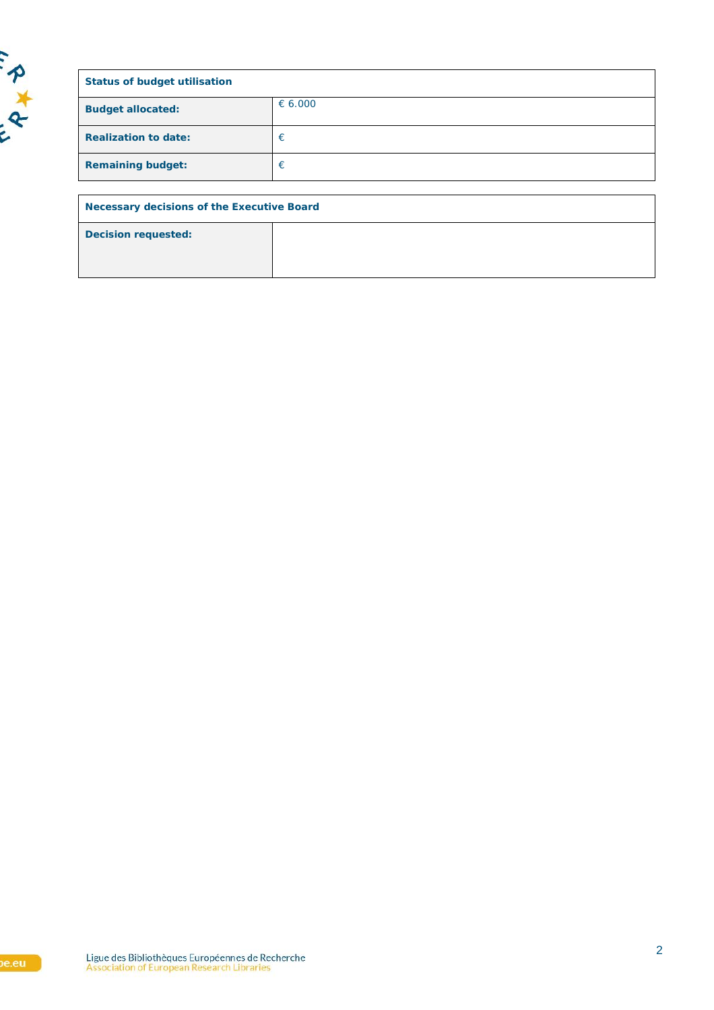

| <b>Status of budget utilisation</b>               |         |  |  |
|---------------------------------------------------|---------|--|--|
| <b>Budget allocated:</b>                          | € 6.000 |  |  |
| <b>Realization to date:</b>                       | €       |  |  |
| <b>Remaining budget:</b>                          | €       |  |  |
|                                                   |         |  |  |
| <b>Necessary decisions of the Executive Board</b> |         |  |  |
| <b>Decision requested:</b>                        |         |  |  |
|                                                   |         |  |  |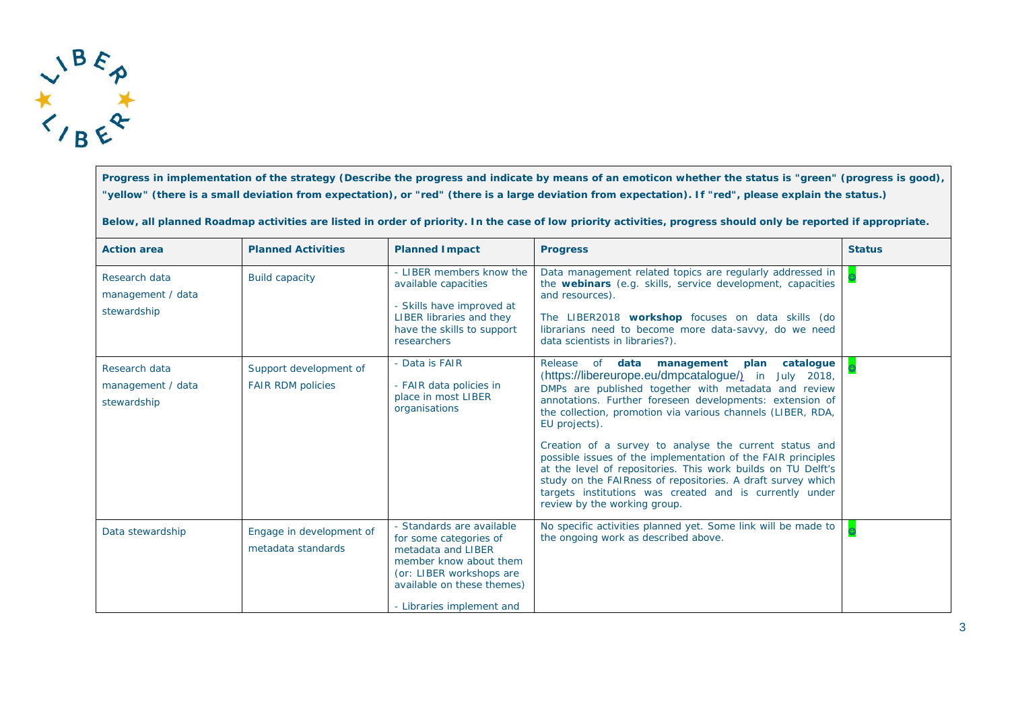

**Progress in implementation of the strategy (Describe the progress and indicate by means of an emoticon whether the status is "green" (progress is good), "yellow" (there is a small deviation from expectation), or "red" (there is a large deviation from expectation). If "red", please explain the status.)**

**Below, all planned Roadmap activities are listed in order of priority. In the case of low priority activities, progress should only be reported if appropriate.**

| <b>Action area</b>                                | <b>Planned Activities</b>                          | <b>Planned Impact</b>                                                                                                                                                                      | <b>Progress</b>                                                                                                                                                                                                                                                                                                                                                                                                                                                                                                                                                                                                                                                                 | <b>Status</b> |
|---------------------------------------------------|----------------------------------------------------|--------------------------------------------------------------------------------------------------------------------------------------------------------------------------------------------|---------------------------------------------------------------------------------------------------------------------------------------------------------------------------------------------------------------------------------------------------------------------------------------------------------------------------------------------------------------------------------------------------------------------------------------------------------------------------------------------------------------------------------------------------------------------------------------------------------------------------------------------------------------------------------|---------------|
| Research data<br>management / data<br>stewardship | <b>Build capacity</b>                              | - LIBER members know the<br>available capacities<br>- Skills have improved at<br><b>LIBER libraries and they</b><br>have the skills to support<br>researchers                              | Data management related topics are regularly addressed in<br>the webinars (e.g. skills, service development, capacities<br>and resources).<br>The LIBER2018 workshop focuses on data skills (do<br>librarians need to become more data-savvy, do we need<br>data scientists in libraries?).                                                                                                                                                                                                                                                                                                                                                                                     |               |
| Research data<br>management / data<br>stewardship | Support development of<br><b>FAIR RDM policies</b> | - Data is FAIR<br>- FAIR data policies in<br>place in most LIBER<br>organisations                                                                                                          | Release<br><b>of</b><br>data<br>management<br>plan<br>catalogue<br>(https://libereurope.eu/dmpcatalogue/) in July 2018,<br>DMPs are published together with metadata and review<br>annotations. Further foreseen developments: extension of<br>the collection, promotion via various channels (LIBER, RDA,<br>EU projects).<br>Creation of a survey to analyse the current status and<br>possible issues of the implementation of the FAIR principles<br>at the level of repositories. This work builds on TU Delft's<br>study on the FAIRness of repositories. A draft survey which<br>targets institutions was created and is currently under<br>review by the working group. |               |
| Data stewardship                                  | Engage in development of<br>metadata standards     | - Standards are available<br>for some categories of<br>metadata and LIBER<br>member know about them<br>(or: LIBER workshops are<br>available on these themes)<br>- Libraries implement and | No specific activities planned yet. Some link will be made to<br>the ongoing work as described above.                                                                                                                                                                                                                                                                                                                                                                                                                                                                                                                                                                           |               |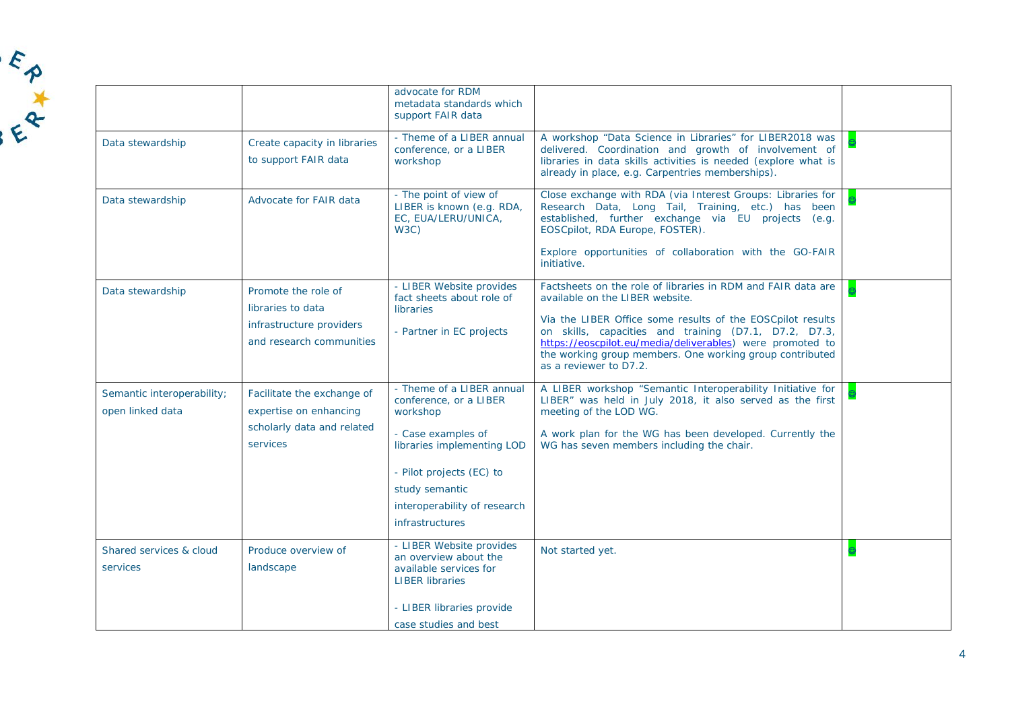|                                                |                                                                                                  | advocate for RDM<br>metadata standards which<br>support FAIR data                                                                                                                                                           |                                                                                                                                                                                                                                                                                                                                                                           |  |
|------------------------------------------------|--------------------------------------------------------------------------------------------------|-----------------------------------------------------------------------------------------------------------------------------------------------------------------------------------------------------------------------------|---------------------------------------------------------------------------------------------------------------------------------------------------------------------------------------------------------------------------------------------------------------------------------------------------------------------------------------------------------------------------|--|
| Data stewardship                               | Create capacity in libraries<br>to support FAIR data                                             | - Theme of a LIBER annual<br>conference, or a LIBER<br>workshop                                                                                                                                                             | A workshop "Data Science in Libraries" for LIBER2018 was<br>delivered. Coordination and growth of involvement of<br>libraries in data skills activities is needed (explore what is<br>already in place, e.g. Carpentries memberships).                                                                                                                                    |  |
| Data stewardship                               | Advocate for FAIR data                                                                           | - The point of view of<br>LIBER is known (e.g. RDA,<br>EC, EUA/LERU/UNICA,<br>W3C)                                                                                                                                          | Close exchange with RDA (via Interest Groups: Libraries for<br>Research Data, Long Tail, Training, etc.) has been<br>established, further exchange via EU projects (e.g.<br>EOSCpilot, RDA Europe, FOSTER).<br>Explore opportunities of collaboration with the GO-FAIR                                                                                                    |  |
|                                                |                                                                                                  |                                                                                                                                                                                                                             | initiative.                                                                                                                                                                                                                                                                                                                                                               |  |
| Data stewardship                               | Promote the role of<br>libraries to data<br>infrastructure providers<br>and research communities | - LIBER Website provides<br>fact sheets about role of<br><b>libraries</b><br>- Partner in EC projects                                                                                                                       | Factsheets on the role of libraries in RDM and FAIR data are<br>available on the LIBER website.<br>Via the LIBER Office some results of the EOSCpilot results<br>on skills, capacities and training (D7.1, D7.2, D7.3,<br>https://eoscpilot.eu/media/deliverables) were promoted to<br>the working group members. One working group contributed<br>as a reviewer to D7.2. |  |
| Semantic interoperability;<br>open linked data | Facilitate the exchange of<br>expertise on enhancing<br>scholarly data and related<br>services   | - Theme of a LIBER annual<br>conference, or a LIBER<br>workshop<br>- Case examples of<br>libraries implementing LOD<br>- Pilot projects (EC) to<br>study semantic<br>interoperability of research<br><i>infrastructures</i> | A LIBER workshop "Semantic Interoperability Initiative for<br>LIBER" was held in July 2018, it also served as the first<br>meeting of the LOD WG.<br>A work plan for the WG has been developed. Currently the<br>WG has seven members including the chair.                                                                                                                |  |
| Shared services & cloud<br>services            | Produce overview of<br>landscape                                                                 | - LIBER Website provides<br>an overview about the<br>available services for<br><b>LIBER libraries</b><br>- LIBER libraries provide<br>case studies and best                                                                 | Not started yet.                                                                                                                                                                                                                                                                                                                                                          |  |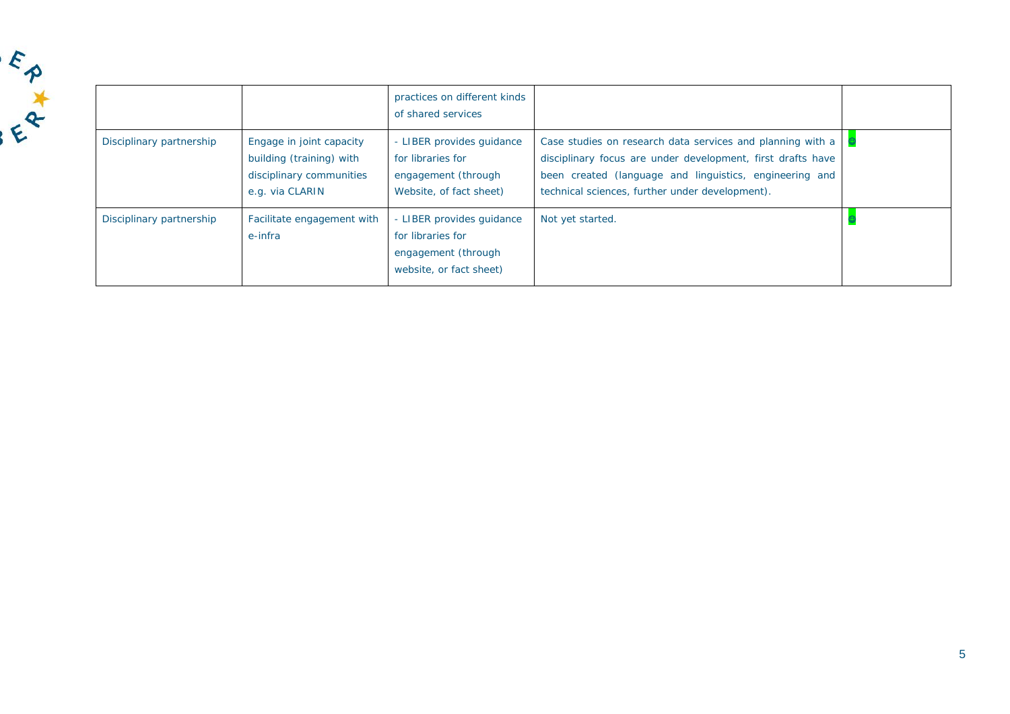

|                          |                                                                                                     | practices on different kinds<br>of shared services                                               |                                                                                                                                                                                                                                         |  |
|--------------------------|-----------------------------------------------------------------------------------------------------|--------------------------------------------------------------------------------------------------|-----------------------------------------------------------------------------------------------------------------------------------------------------------------------------------------------------------------------------------------|--|
| Disciplinary partnership | Engage in joint capacity<br>building (training) with<br>disciplinary communities<br>e.g. via CLARIN | - LIBER provides quidance<br>for libraries for<br>engagement (through<br>Website, of fact sheet) | Case studies on research data services and planning with a<br>disciplinary focus are under development, first drafts have<br>been created (language and linguistics, engineering and<br>technical sciences, further under development). |  |
| Disciplinary partnership | Facilitate engagement with<br>e-infra                                                               | - LIBER provides quidance<br>for libraries for<br>engagement (through<br>website, or fact sheet) | Not yet started.                                                                                                                                                                                                                        |  |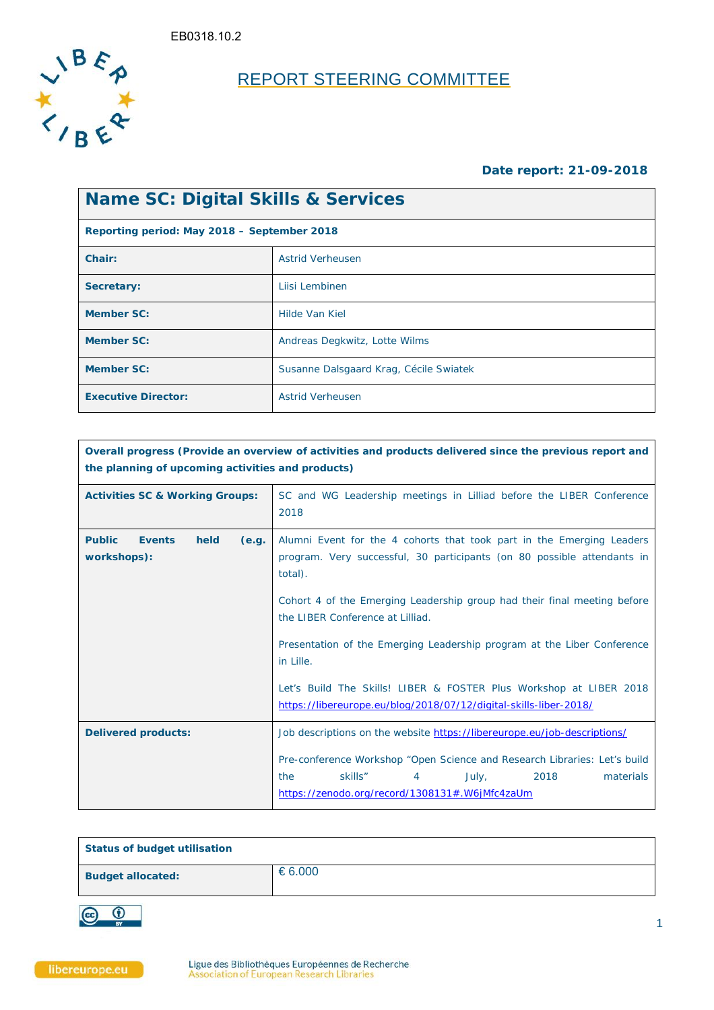

# REPORT STEERING COMMITTEE

### **Date report: 21-09-2018**

| <b>Name SC: Digital Skills &amp; Services</b> |                                        |  |  |
|-----------------------------------------------|----------------------------------------|--|--|
| Reporting period: May 2018 - September 2018   |                                        |  |  |
| Chair:                                        | <b>Astrid Verheusen</b>                |  |  |
| Secretary:                                    | Liisi Lembinen                         |  |  |
| <b>Member SC:</b>                             | Hilde Van Kiel                         |  |  |
| <b>Member SC:</b>                             | Andreas Degkwitz, Lotte Wilms          |  |  |
| <b>Member SC:</b>                             | Susanne Dalsgaard Krag, Cécile Swiatek |  |  |
| <b>Executive Director:</b>                    | <b>Astrid Verheusen</b>                |  |  |

| Overall progress (Provide an overview of activities and products delivered since the previous report and<br>the planning of upcoming activities and products) |                                                                                                                                                                                               |  |  |
|---------------------------------------------------------------------------------------------------------------------------------------------------------------|-----------------------------------------------------------------------------------------------------------------------------------------------------------------------------------------------|--|--|
| <b>Activities SC &amp; Working Groups:</b>                                                                                                                    | SC and WG Leadership meetings in Lilliad before the LIBER Conference<br>2018                                                                                                                  |  |  |
| <b>Public</b><br><b>Events</b><br>held<br>(e.g.<br>workshops):                                                                                                | Alumni Event for the 4 cohorts that took part in the Emerging Leaders<br>program. Very successful, 30 participants (on 80 possible attendants in<br>total).                                   |  |  |
|                                                                                                                                                               | Cohort 4 of the Emerging Leadership group had their final meeting before<br>the LIBER Conference at Lilliad.                                                                                  |  |  |
|                                                                                                                                                               | Presentation of the Emerging Leadership program at the Liber Conference<br>in Lille.                                                                                                          |  |  |
|                                                                                                                                                               | Let's Build The Skills! LIBER & FOSTER Plus Workshop at LIBER 2018<br>https://libereurope.eu/blog/2018/07/12/digital-skills-liber-2018/                                                       |  |  |
| <b>Delivered products:</b>                                                                                                                                    | Job descriptions on the website https://libereurope.eu/job-descriptions/                                                                                                                      |  |  |
|                                                                                                                                                               | Pre-conference Workshop "Open Science and Research Libraries: Let's build<br>skills"<br>the<br>$\overline{4}$<br>2018<br>materials<br>July,<br>https://zenodo.org/record/1308131#.W6jMfc4zaUm |  |  |

| <b>Status of budget utilisation</b> |           |
|-------------------------------------|-----------|
| <b>Budget allocated:</b>            | € $6.000$ |

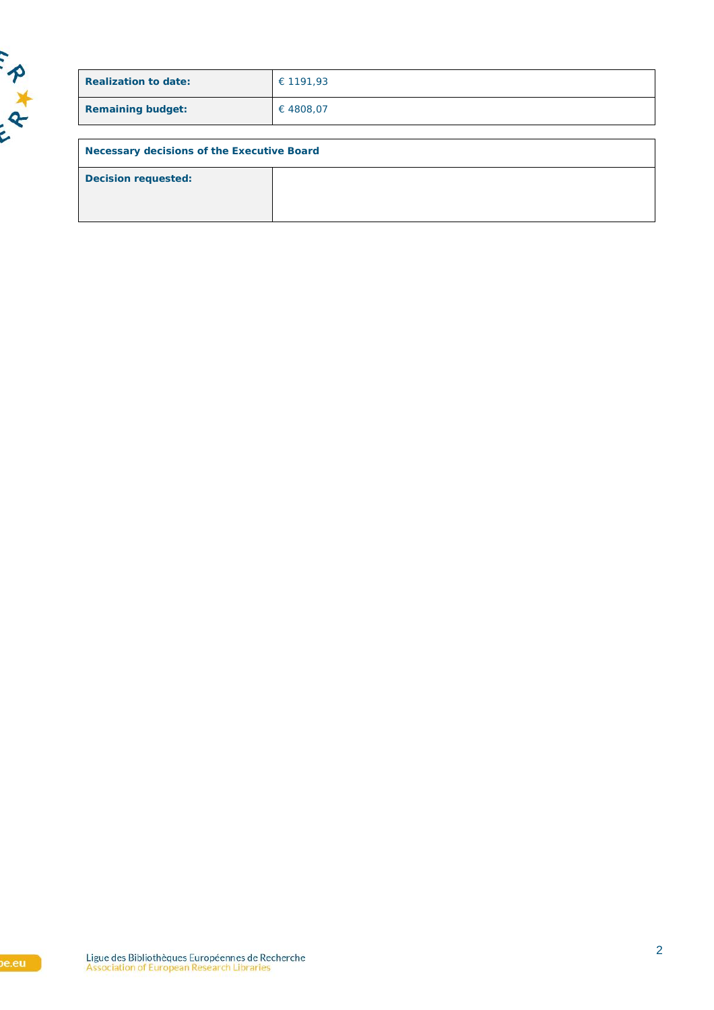

| € 1191,93                                  |  |  |  |
|--------------------------------------------|--|--|--|
| €4808,07                                   |  |  |  |
|                                            |  |  |  |
| Necessary decisions of the Executive Board |  |  |  |
|                                            |  |  |  |
|                                            |  |  |  |
|                                            |  |  |  |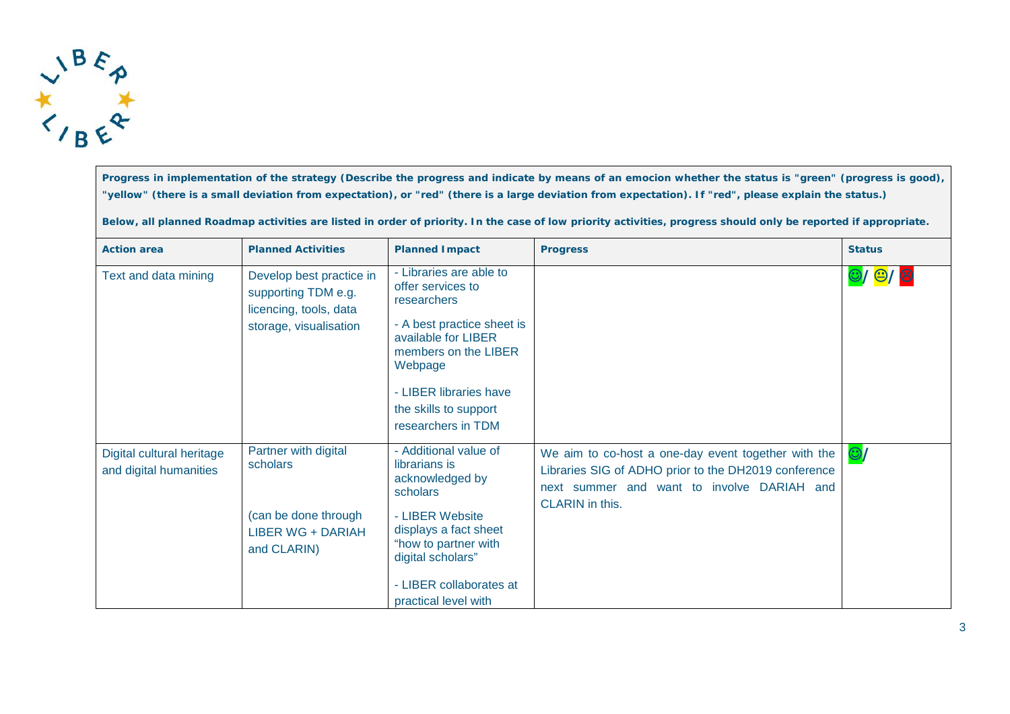

**Progress in implementation of the strategy (Describe the progress and indicate by means of an emocion whether the status is "green" (progress is good), "yellow" (there is a small deviation from expectation), or "red" (there is a large deviation from expectation). If "red", please explain the status.)**

**Below, all planned Roadmap activities are listed in order of priority. In the case of low priority activities, progress should only be reported if appropriate.**

| <b>Action area</b>                                  | <b>Planned Activities</b>                                                                           | <b>Planned Impact</b>                                                                                                                                                                                                        | <b>Progress</b>                                                                                                                                                                     | <b>Status</b> |
|-----------------------------------------------------|-----------------------------------------------------------------------------------------------------|------------------------------------------------------------------------------------------------------------------------------------------------------------------------------------------------------------------------------|-------------------------------------------------------------------------------------------------------------------------------------------------------------------------------------|---------------|
| Text and data mining                                | Develop best practice in<br>supporting TDM e.g.<br>licencing, tools, data<br>storage, visualisation | - Libraries are able to<br>offer services to<br>researchers<br>- A best practice sheet is<br>available for LIBER<br>members on the LIBER<br>Webpage<br>- LIBER libraries have<br>the skills to support<br>researchers in TDM |                                                                                                                                                                                     | 0/0/8         |
| Digital cultural heritage<br>and digital humanities | Partner with digital<br>scholars<br>(can be done through<br><b>LIBER WG + DARIAH</b><br>and CLARIN) | - Additional value of<br>librarians is<br>acknowledged by<br>scholars<br>- LIBER Website<br>displays a fact sheet<br>"how to partner with<br>digital scholars"<br>- LIBER collaborates at<br>practical level with            | We aim to co-host a one-day event together with the<br>Libraries SIG of ADHO prior to the DH2019 conference<br>next summer and want to involve DARIAH and<br><b>CLARIN</b> in this. | $\odot$       |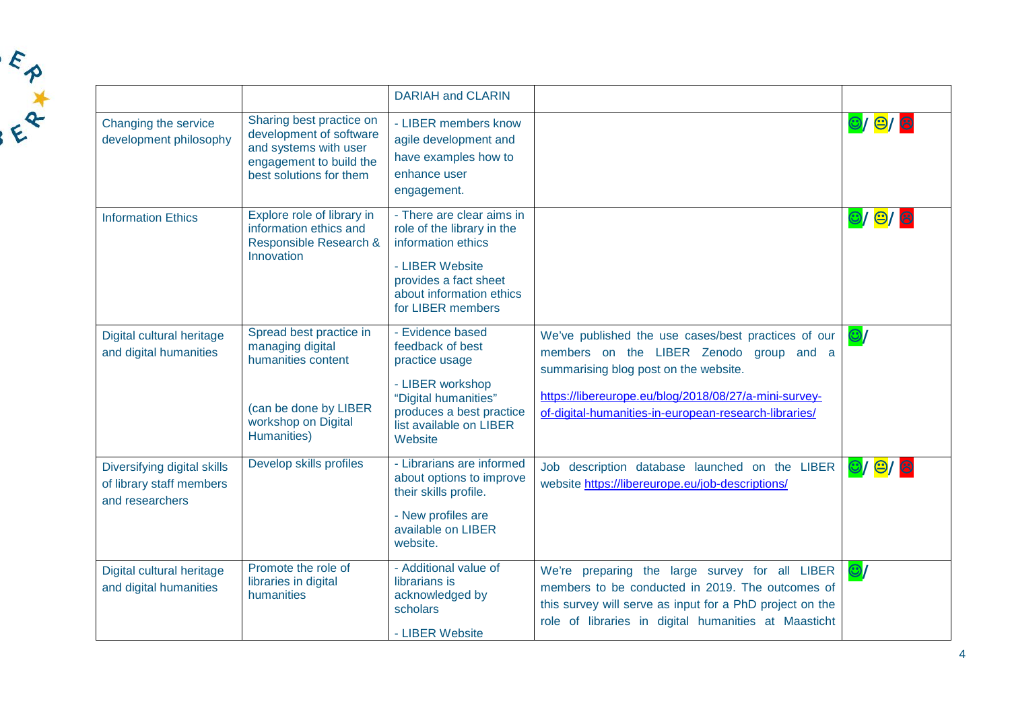|                                                                            |                                                                                                                                    | <b>DARIAH and CLARIN</b>                                                                                                                                                   |                                                                                                                                                                                                                                                           |                                      |
|----------------------------------------------------------------------------|------------------------------------------------------------------------------------------------------------------------------------|----------------------------------------------------------------------------------------------------------------------------------------------------------------------------|-----------------------------------------------------------------------------------------------------------------------------------------------------------------------------------------------------------------------------------------------------------|--------------------------------------|
| Changing the service<br>development philosophy                             | Sharing best practice on<br>development of software<br>and systems with user<br>engagement to build the<br>best solutions for them | - LIBER members know<br>agile development and<br>have examples how to<br>enhance user<br>engagement.                                                                       |                                                                                                                                                                                                                                                           | $\bigcirc$ / $\bigcirc$ / $\bigcirc$ |
| <b>Information Ethics</b>                                                  | Explore role of library in<br>information ethics and<br>Responsible Research &<br>Innovation                                       | - There are clear aims in<br>role of the library in the<br>information ethics<br>- LIBER Website<br>provides a fact sheet<br>about information ethics<br>for LIBER members |                                                                                                                                                                                                                                                           | $\bigcirc$ / $\bigcirc$ / $\bigcirc$ |
| Digital cultural heritage<br>and digital humanities                        | Spread best practice in<br>managing digital<br>humanities content<br>(can be done by LIBER<br>workshop on Digital<br>Humanities)   | - Evidence based<br>feedback of best<br>practice usage<br>- LIBER workshop<br>"Digital humanities"<br>produces a best practice<br>list available on LIBER<br>Website       | We've published the use cases/best practices of our<br>members on the LIBER Zenodo group and a<br>summarising blog post on the website.<br>https://libereurope.eu/blog/2018/08/27/a-mini-survey-<br>of-digital-humanities-in-european-research-libraries/ | $\odot$                              |
| Diversifying digital skills<br>of library staff members<br>and researchers | Develop skills profiles                                                                                                            | - Librarians are informed<br>about options to improve<br>their skills profile.<br>- New profiles are<br>available on LIBER<br>website.                                     | Job description database launched on the LIBER<br>website https://libereurope.eu/job-descriptions/                                                                                                                                                        | $\bigcirc$ / $\bigcirc$ / $\bigcirc$ |
| Digital cultural heritage<br>and digital humanities                        | Promote the role of<br>libraries in digital<br>humanities                                                                          | - Additional value of<br>librarians is<br>acknowledged by<br>scholars<br>- LIBER Website                                                                                   | We're preparing the large survey for all LIBER<br>members to be conducted in 2019. The outcomes of<br>this survey will serve as input for a PhD project on the<br>role of libraries in digital humanities at Maasticht                                    | $\odot$ /                            |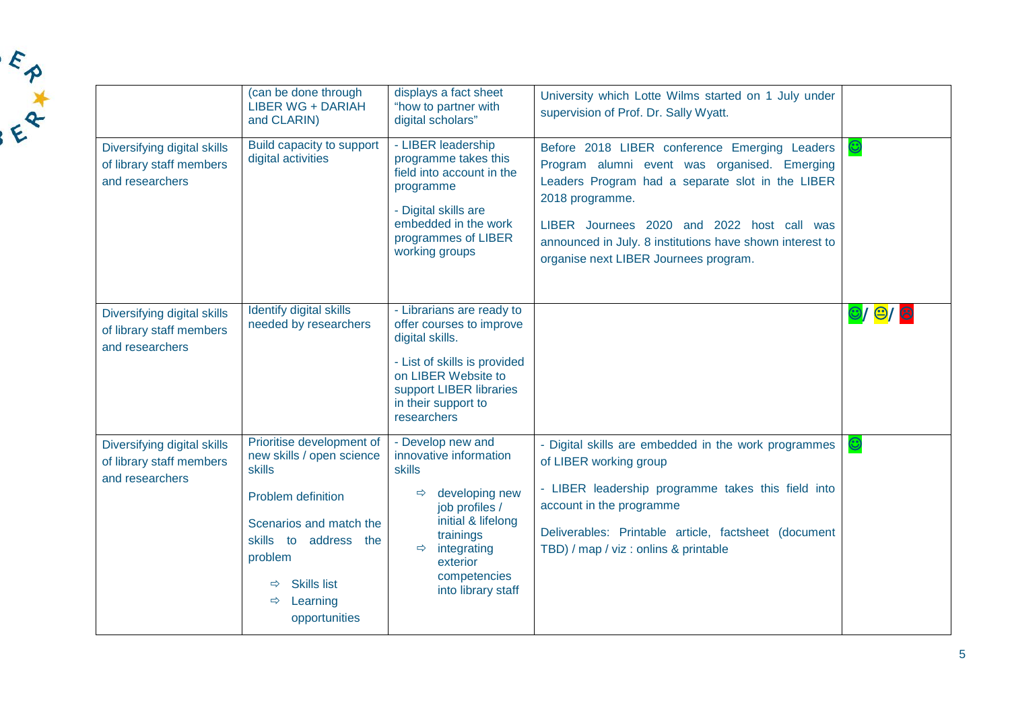|                                                                            | (can be done through<br><b>LIBER WG + DARIAH</b><br>and CLARIN)                                                                                                                                                           | displays a fact sheet<br>"how to partner with<br>digital scholars"                                                                                                                                                                     | University which Lotte Wilms started on 1 July under<br>supervision of Prof. Dr. Sally Wyatt.                                                                                                                                                                                                                           |                                      |
|----------------------------------------------------------------------------|---------------------------------------------------------------------------------------------------------------------------------------------------------------------------------------------------------------------------|----------------------------------------------------------------------------------------------------------------------------------------------------------------------------------------------------------------------------------------|-------------------------------------------------------------------------------------------------------------------------------------------------------------------------------------------------------------------------------------------------------------------------------------------------------------------------|--------------------------------------|
| Diversifying digital skills<br>of library staff members<br>and researchers | Build capacity to support<br>digital activities                                                                                                                                                                           | - LIBER leadership<br>programme takes this<br>field into account in the<br>programme<br>- Digital skills are<br>embedded in the work<br>programmes of LIBER<br>working groups                                                          | Before 2018 LIBER conference Emerging Leaders<br>Program alumni event was organised. Emerging<br>Leaders Program had a separate slot in the LIBER<br>2018 programme.<br>LIBER Journees 2020 and 2022 host call was<br>announced in July. 8 institutions have shown interest to<br>organise next LIBER Journees program. | $\bm{\mathbb{O}}$                    |
| Diversifying digital skills<br>of library staff members<br>and researchers | Identify digital skills<br>needed by researchers                                                                                                                                                                          | - Librarians are ready to<br>offer courses to improve<br>digital skills.<br>- List of skills is provided<br>on LIBER Website to<br>support LIBER libraries<br>in their support to<br>researchers                                       |                                                                                                                                                                                                                                                                                                                         | $\bigcirc$ / $\bigcirc$ / $\bigcirc$ |
| Diversifying digital skills<br>of library staff members<br>and researchers | Prioritise development of<br>new skills / open science<br>skills<br>Problem definition<br>Scenarios and match the<br>skills to address the<br>problem<br><b>Skills list</b><br>Learning<br>$\Rightarrow$<br>opportunities | - Develop new and<br>innovative information<br><b>skills</b><br>developing new<br>$\Rightarrow$<br>job profiles /<br>initial & lifelong<br>trainings<br>integrating<br>$\Rightarrow$<br>exterior<br>competencies<br>into library staff | - Digital skills are embedded in the work programmes<br>of LIBER working group<br>- LIBER leadership programme takes this field into<br>account in the programme<br>Deliverables: Printable article, factsheet (document<br>TBD) / map / viz : onlins & printable                                                       | $\bm{\mathbb{O}}$                    |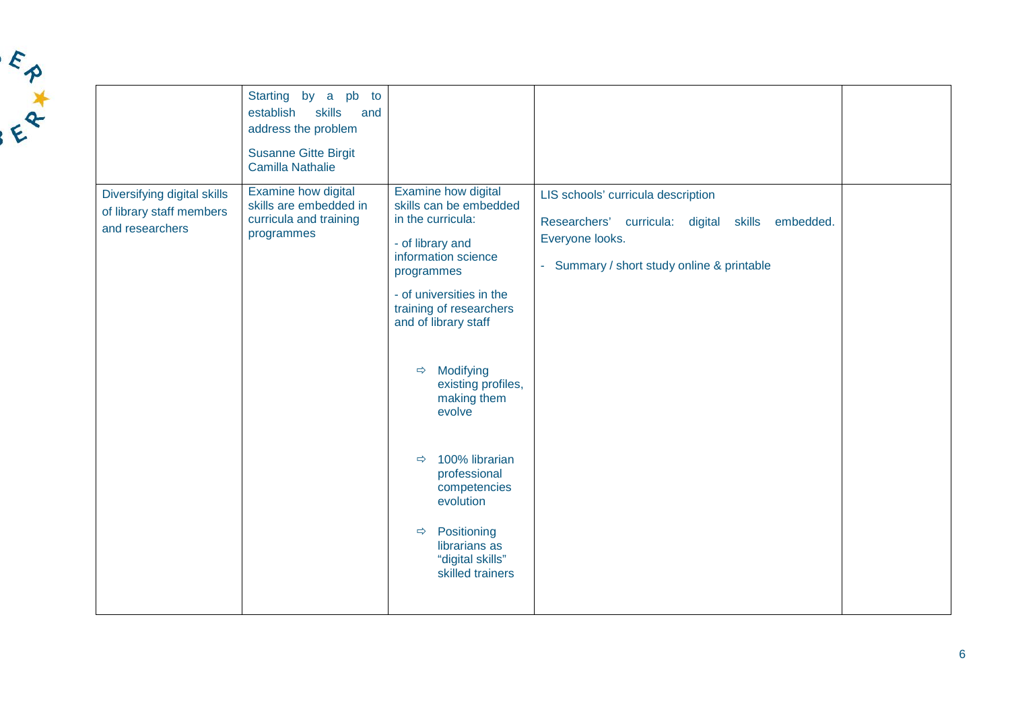|                                                                            | Starting by a pb to<br>establish<br>skills<br>and<br>address the problem<br><b>Susanne Gitte Birgit</b><br><b>Camilla Nathalie</b> |                                                                                                                                                                                                                                                                                                                                                                                                                                                                  |                                                                                                                                                         |  |
|----------------------------------------------------------------------------|------------------------------------------------------------------------------------------------------------------------------------|------------------------------------------------------------------------------------------------------------------------------------------------------------------------------------------------------------------------------------------------------------------------------------------------------------------------------------------------------------------------------------------------------------------------------------------------------------------|---------------------------------------------------------------------------------------------------------------------------------------------------------|--|
| Diversifying digital skills<br>of library staff members<br>and researchers | Examine how digital<br>skills are embedded in<br>curricula and training<br>programmes                                              | Examine how digital<br>skills can be embedded<br>in the curricula:<br>- of library and<br>information science<br>programmes<br>- of universities in the<br>training of researchers<br>and of library staff<br>Modifying<br>$\Rightarrow$<br>existing profiles,<br>making them<br>evolve<br>100% librarian<br>$\Rightarrow$<br>professional<br>competencies<br>evolution<br>Positioning<br>$\Rightarrow$<br>librarians as<br>"digital skills"<br>skilled trainers | LIS schools' curricula description<br>Researchers' curricula: digital skills embedded.<br>Everyone looks.<br>- Summary / short study online & printable |  |

FAXA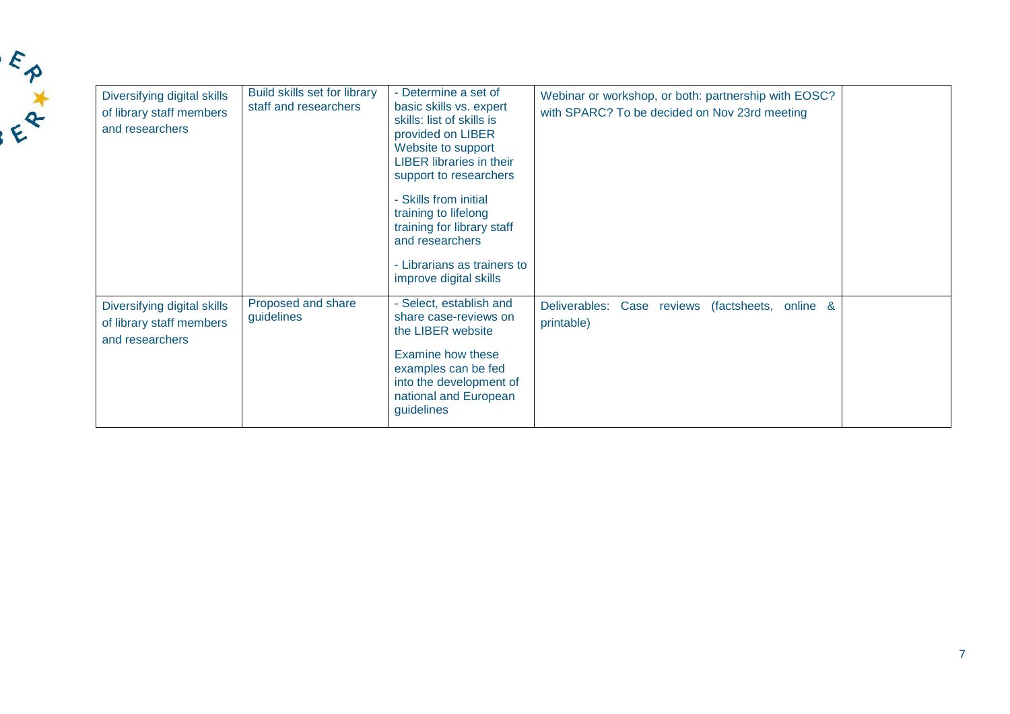| Diversifying digital skills<br>of library staff members<br>and researchers | Build skills set for library<br>staff and researchers | - Determine a set of<br>basic skills vs. expert<br>skills: list of skills is<br>provided on LIBER<br>Website to support<br><b>LIBER libraries in their</b><br>support to researchers<br>- Skills from initial<br>training to lifelong<br>training for library staff<br>and researchers<br>- Librarians as trainers to | Webinar or workshop, or both: partnership with EOSC?<br>with SPARC? To be decided on Nov 23rd meeting |
|----------------------------------------------------------------------------|-------------------------------------------------------|-----------------------------------------------------------------------------------------------------------------------------------------------------------------------------------------------------------------------------------------------------------------------------------------------------------------------|-------------------------------------------------------------------------------------------------------|
|                                                                            |                                                       | improve digital skills                                                                                                                                                                                                                                                                                                |                                                                                                       |
| Diversifying digital skills<br>of library staff members<br>and researchers | Proposed and share<br>guidelines                      | - Select, establish and<br>share case-reviews on<br>the LIBER website<br>Examine how these<br>examples can be fed<br>into the development of<br>national and European<br>guidelines                                                                                                                                   | Deliverables: Case reviews<br>(factsheets,<br>online &<br>printable)                                  |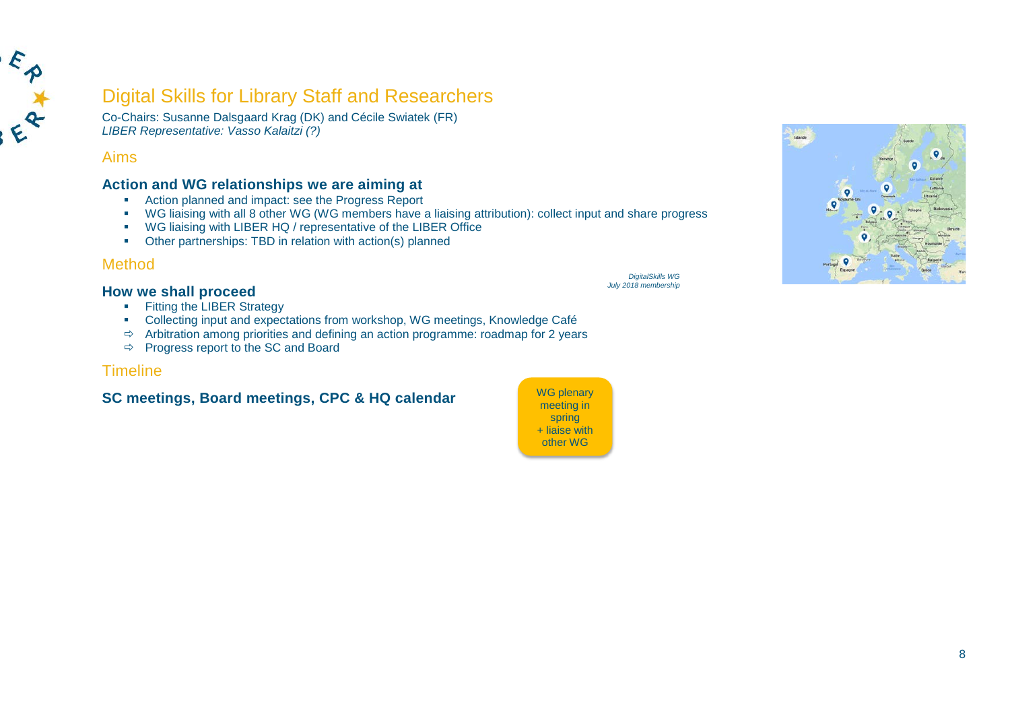

# Digital Skills for Library Staff and Researchers

Co-Chairs: Susanne Dalsgaard Krag (DK) and Cécile Swiatek (FR) *LIBER Representative: Vasso Kalaitzi (?)*

## Aims

## **Action and WG relationships we are aiming at**

- Action planned and impact: see the Progress Report
- WG liaising with all 8 other WG (WG members have a liaising attribution): collect input and share progress
- WG liaising with LIBER HQ / representative of the LIBER Office
- Other partnerships: TBD in relation with action(s) planned

## Method

**How we shall proceed**

- **Fitting the LIBER Strategy**
- Collecting input and expectations from workshop, WG meetings, Knowledge Café
- $\Rightarrow$  Arbitration among priorities and defining an action programme: roadmap for 2 years
- $\Rightarrow$  Progress report to the SC and Board

## **Timeline**

# **SC meetings, Board meetings, CPC & HQ calendar** WG plenary



*DigitalSkills WG July 2018 membership*

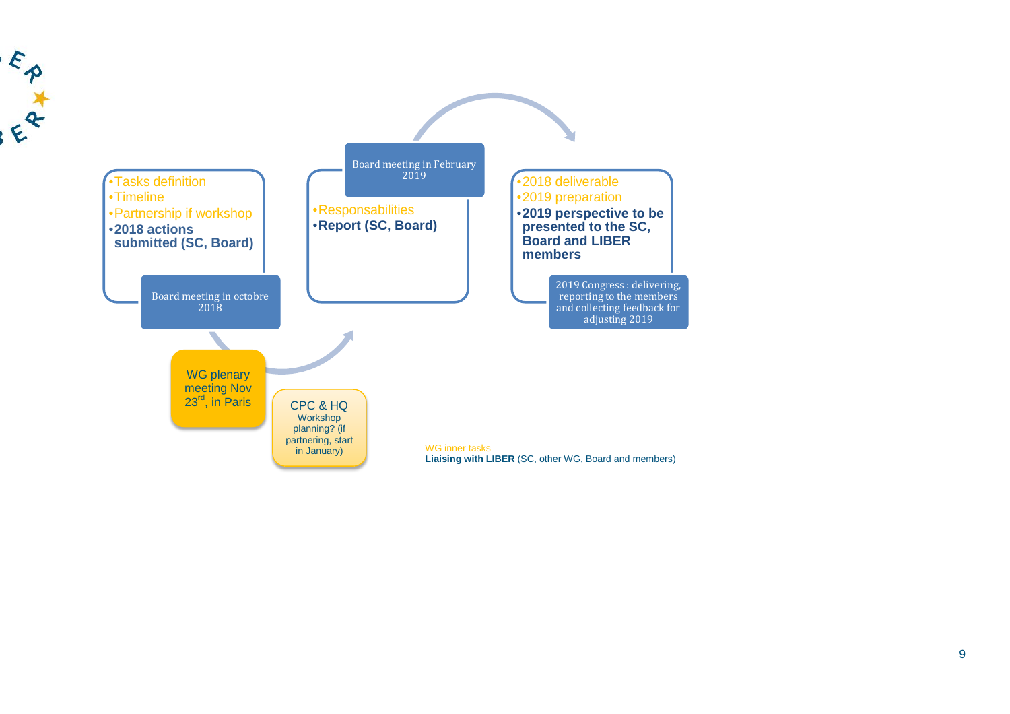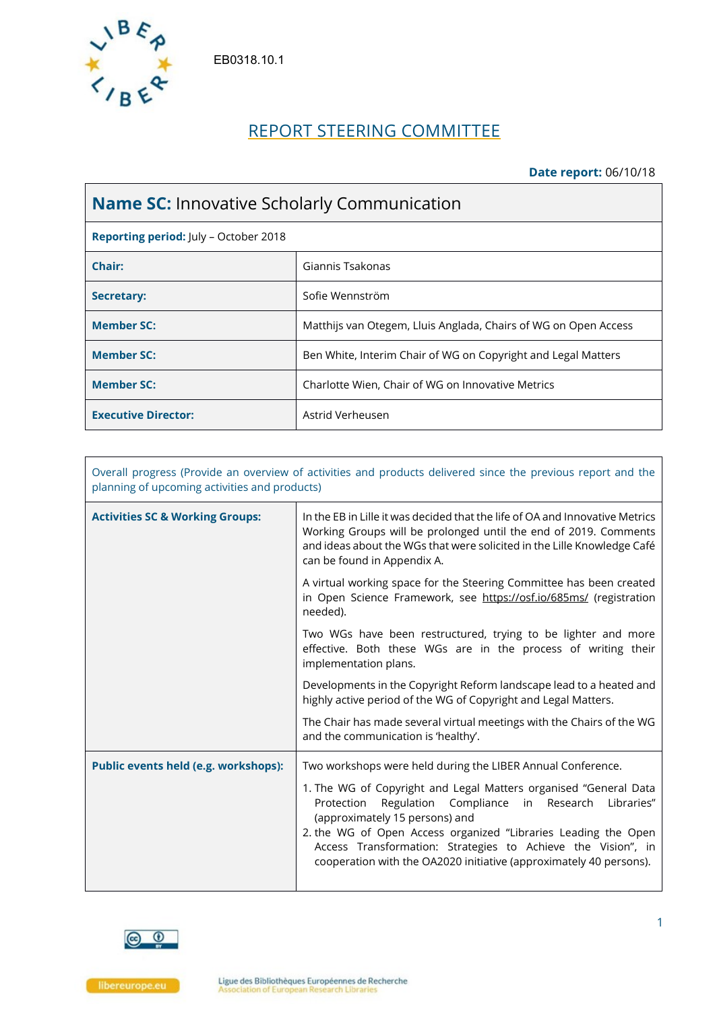

EB0318.10.1

# REPORT STEERING COMMITTEE

### **Date report:** 06/10/18

| <b>Name SC:</b> Innovative Scholarly Communication |                                                                 |  |
|----------------------------------------------------|-----------------------------------------------------------------|--|
| Reporting period: July - October 2018              |                                                                 |  |
| Chair:                                             | Giannis Tsakonas                                                |  |
| Secretary:                                         | Sofie Wennström                                                 |  |
| <b>Member SC:</b>                                  | Matthijs van Otegem, Lluis Anglada, Chairs of WG on Open Access |  |
| <b>Member SC:</b>                                  | Ben White, Interim Chair of WG on Copyright and Legal Matters   |  |
| <b>Member SC:</b>                                  | Charlotte Wien, Chair of WG on Innovative Metrics               |  |
| <b>Executive Director:</b>                         | Astrid Verheusen                                                |  |

| Overall progress (Provide an overview of activities and products delivered since the previous report and the<br>planning of upcoming activities and products) |                                                                                                                                                                                                                                                                                                                                                                             |  |
|---------------------------------------------------------------------------------------------------------------------------------------------------------------|-----------------------------------------------------------------------------------------------------------------------------------------------------------------------------------------------------------------------------------------------------------------------------------------------------------------------------------------------------------------------------|--|
| <b>Activities SC &amp; Working Groups:</b>                                                                                                                    | In the EB in Lille it was decided that the life of OA and Innovative Metrics<br>Working Groups will be prolonged until the end of 2019. Comments<br>and ideas about the WGs that were solicited in the Lille Knowledge Café<br>can be found in Appendix A.                                                                                                                  |  |
|                                                                                                                                                               | A virtual working space for the Steering Committee has been created<br>in Open Science Framework, see https://osf.io/685ms/ (registration<br>needed).                                                                                                                                                                                                                       |  |
|                                                                                                                                                               | Two WGs have been restructured, trying to be lighter and more<br>effective. Both these WGs are in the process of writing their<br>implementation plans.                                                                                                                                                                                                                     |  |
|                                                                                                                                                               | Developments in the Copyright Reform landscape lead to a heated and<br>highly active period of the WG of Copyright and Legal Matters.                                                                                                                                                                                                                                       |  |
|                                                                                                                                                               | The Chair has made several virtual meetings with the Chairs of the WG<br>and the communication is 'healthy'.                                                                                                                                                                                                                                                                |  |
| <b>Public events held (e.g. workshops):</b>                                                                                                                   | Two workshops were held during the LIBER Annual Conference.                                                                                                                                                                                                                                                                                                                 |  |
|                                                                                                                                                               | 1. The WG of Copyright and Legal Matters organised "General Data<br>Regulation Compliance in Research<br>Protection<br>Libraries"<br>(approximately 15 persons) and<br>2. the WG of Open Access organized "Libraries Leading the Open<br>Access Transformation: Strategies to Achieve the Vision", in<br>cooperation with the OA2020 initiative (approximately 40 persons). |  |

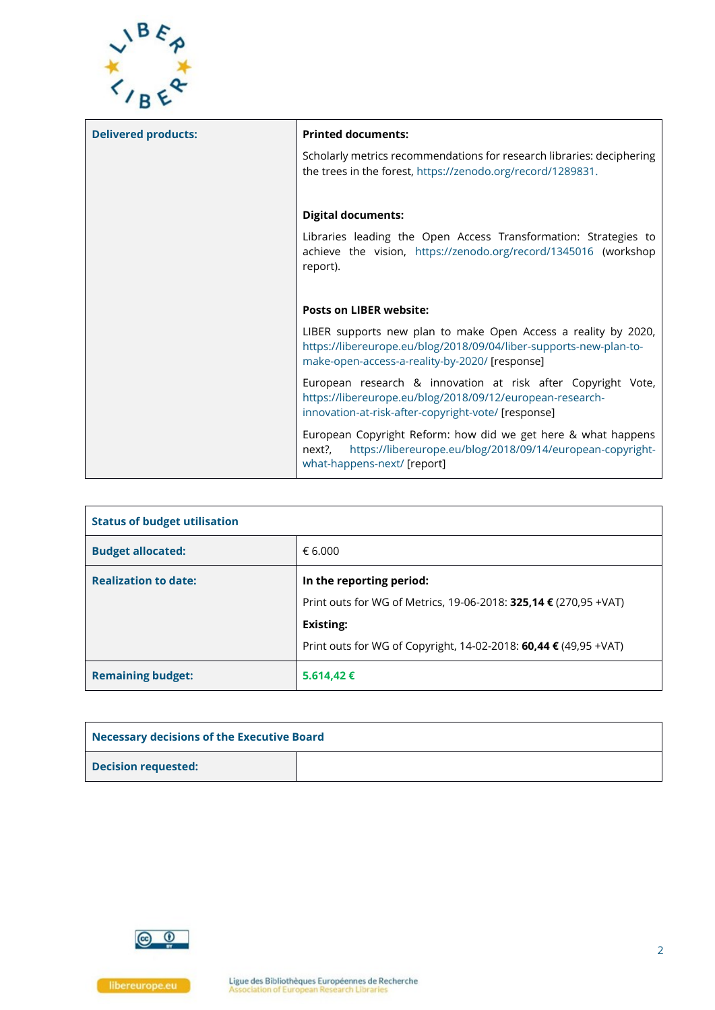

| <b>Delivered products:</b> | <b>Printed documents:</b>                                                                                                                                                              |
|----------------------------|----------------------------------------------------------------------------------------------------------------------------------------------------------------------------------------|
|                            | Scholarly metrics recommendations for research libraries: deciphering<br>the trees in the forest, https://zenodo.org/record/1289831.                                                   |
|                            | <b>Digital documents:</b>                                                                                                                                                              |
|                            | Libraries leading the Open Access Transformation: Strategies to<br>achieve the vision, https://zenodo.org/record/1345016 (workshop<br>report).                                         |
|                            | <b>Posts on LIBER website:</b>                                                                                                                                                         |
|                            | LIBER supports new plan to make Open Access a reality by 2020,<br>https://libereurope.eu/blog/2018/09/04/liber-supports-new-plan-to-<br>make-open-access-a-reality-by-2020/ [response] |
|                            | European research & innovation at risk after Copyright Vote,<br>https://libereurope.eu/blog/2018/09/12/european-research-<br>innovation-at-risk-after-copyright-vote/ [response]       |
|                            | European Copyright Reform: how did we get here & what happens<br>https://libereurope.eu/blog/2018/09/14/european-copyright-<br>next?,<br>what-happens-next/ [report]                   |

| <b>Status of budget utilisation</b> |                                                                                                                   |  |
|-------------------------------------|-------------------------------------------------------------------------------------------------------------------|--|
| <b>Budget allocated:</b>            | € 6.000                                                                                                           |  |
| <b>Realization to date:</b>         | In the reporting period:<br>Print outs for WG of Metrics, 19-06-2018: 325,14 € (270,95 + VAT)<br><b>Existing:</b> |  |
|                                     | Print outs for WG of Copyright, 14-02-2018: 60,44 € (49,95 + VAT)                                                 |  |
| <b>Remaining budget:</b>            | 5.614,42€                                                                                                         |  |

| Necessary decisions of the Executive Board |  |  |
|--------------------------------------------|--|--|
| <b>Decision requested:</b>                 |  |  |

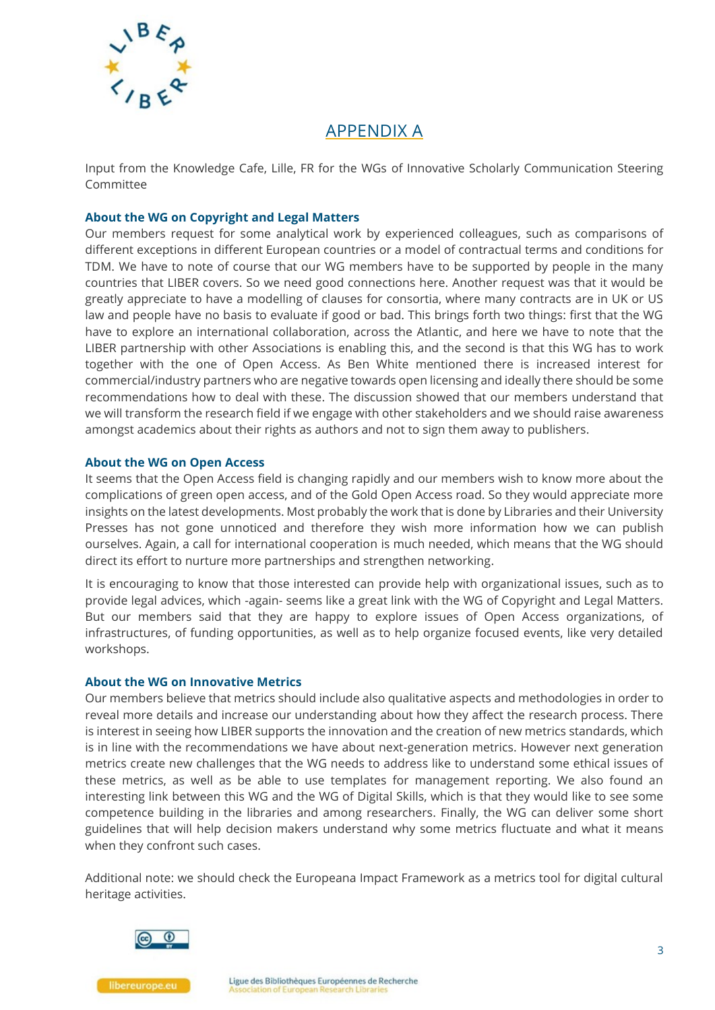

## APPENDIX A

Input from the Knowledge Cafe, Lille, FR for the WGs of Innovative Scholarly Communication Steering Committee

#### **About the WG on Copyright and Legal Matters**

Our members request for some analytical work by experienced colleagues, such as comparisons of different exceptions in different European countries or a model of contractual terms and conditions for TDM. We have to note of course that our WG members have to be supported by people in the many countries that LIBER covers. So we need good connections here. Another request was that it would be greatly appreciate to have a modelling of clauses for consortia, where many contracts are in UK or US law and people have no basis to evaluate if good or bad. This brings forth two things: first that the WG have to explore an international collaboration, across the Atlantic, and here we have to note that the LIBER partnership with other Associations is enabling this, and the second is that this WG has to work together with the one of Open Access. As Ben White mentioned there is increased interest for commercial/industry partners who are negative towards open licensing and ideally there should be some recommendations how to deal with these. The discussion showed that our members understand that we will transform the research field if we engage with other stakeholders and we should raise awareness amongst academics about their rights as authors and not to sign them away to publishers.

#### **About the WG on Open Access**

It seems that the Open Access field is changing rapidly and our members wish to know more about the complications of green open access, and of the Gold Open Access road. So they would appreciate more insights on the latest developments. Most probably the work that is done by Libraries and their University Presses has not gone unnoticed and therefore they wish more information how we can publish ourselves. Again, a call for international cooperation is much needed, which means that the WG should direct its effort to nurture more partnerships and strengthen networking.

It is encouraging to know that those interested can provide help with organizational issues, such as to provide legal advices, which -again- seems like a great link with the WG of Copyright and Legal Matters. But our members said that they are happy to explore issues of Open Access organizations, of infrastructures, of funding opportunities, as well as to help organize focused events, like very detailed workshops.

#### **About the WG on Innovative Metrics**

Our members believe that metrics should include also qualitative aspects and methodologies in order to reveal more details and increase our understanding about how they affect the research process. There is interest in seeing how LIBER supports the innovation and the creation of new metrics standards, which is in line with the recommendations we have about next-generation metrics. However next generation metrics create new challenges that the WG needs to address like to understand some ethical issues of these metrics, as well as be able to use templates for management reporting. We also found an interesting link between this WG and the WG of Digital Skills, which is that they would like to see some competence building in the libraries and among researchers. Finally, the WG can deliver some short guidelines that will help decision makers understand why some metrics fluctuate and what it means when they confront such cases.

Additional note: we should check the Europeana Impact Framework as a metrics tool for digital cultural heritage activities.



libereurope.eu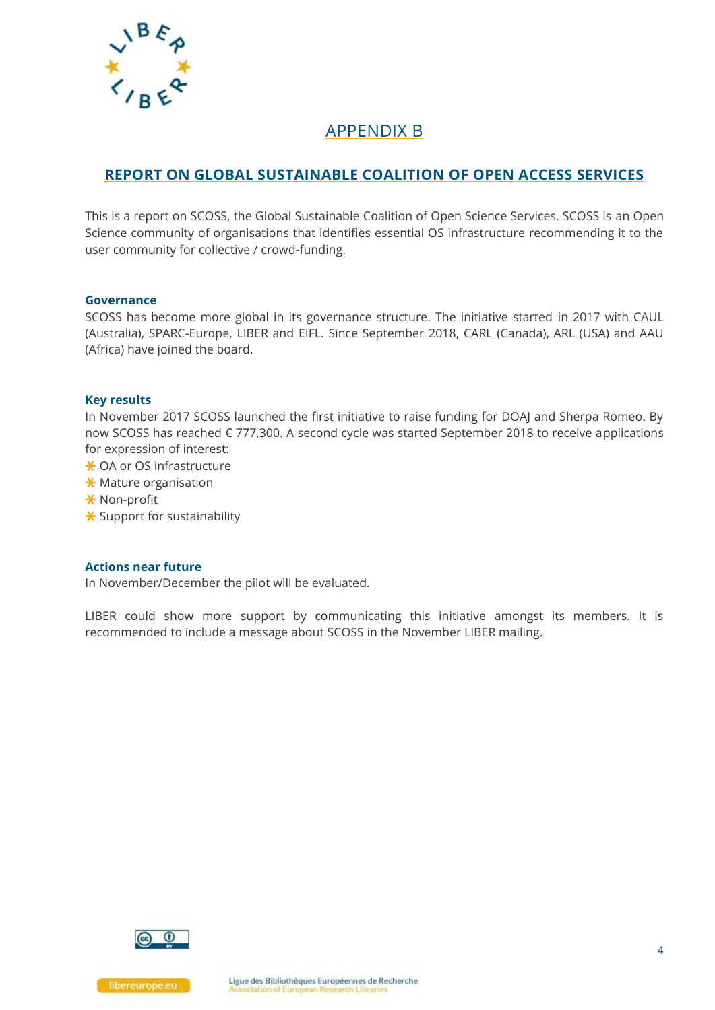

## APPENDIX B

## **REPORT ON GLOBAL SUSTAINABLE COALITION OF OPEN ACCESS SERVICES**

This is a report on SCOSS, the Global Sustainable Coalition of Open Science Services. SCOSS is an Open Science community of organisations that identifies essential OS infrastructure recommending it to the user community for collective / crowd-funding.

#### **Governance**

SCOSS has become more global in its governance structure. The initiative started in 2017 with CAUL (Australia), SPARC-Europe, LIBER and EIFL. Since September 2018, CARL (Canada), ARL (USA) and AAU (Africa) have joined the board.

#### **Key results**

In November 2017 SCOSS launched the first initiative to raise funding for DOAJ and Sherpa Romeo. By now SCOSS has reached € 777,300. A second cycle was started September 2018 to receive applications for expression of interest:

- \* OA or OS infrastructure
- $\star$  Mature organisation
- **X** Non-profit
- $\star$  Support for sustainability

#### **Actions near future**

In November/December the pilot will be evaluated.

LIBER could show more support by communicating this initiative amongst its members. It is recommended to include a message about SCOSS in the November LIBER mailing.

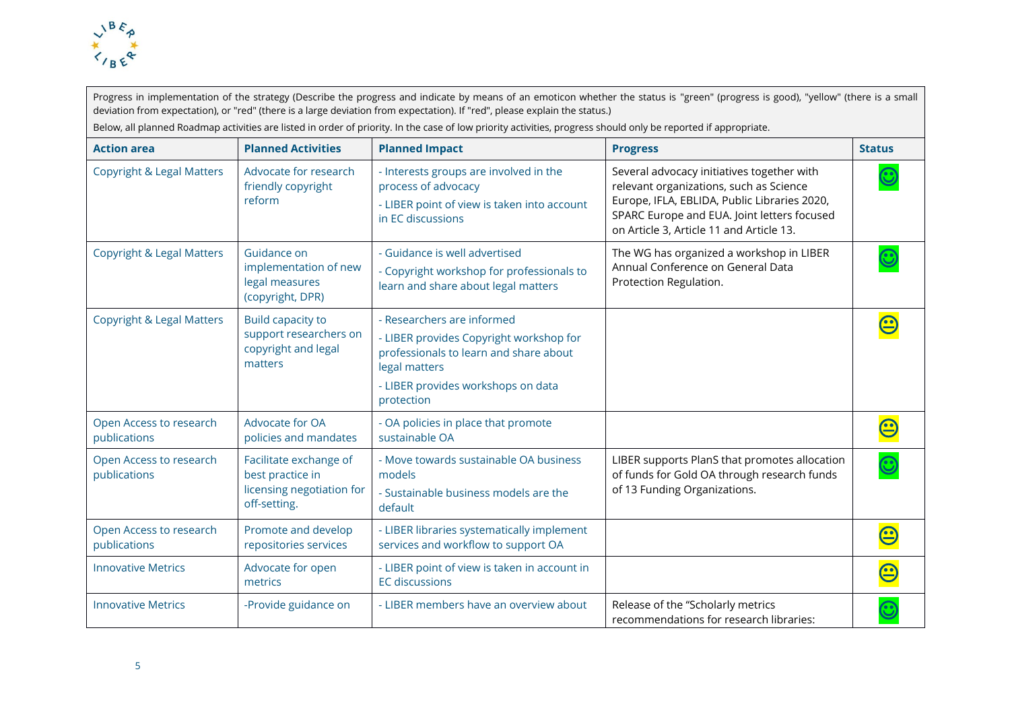

Progress in implementation of the strategy (Describe the progress and indicate by means of an emoticon whether the status is "green" (progress is good), "yellow" (there is a small deviation from expectation), or "red" (there is a large deviation from expectation). If "red", please explain the status.) Below, all planned Roadmap activities are listed in order of priority. In the case of low priority activities, progress should only be reported if appropriate.

| <b>Action area</b>                      | <b>Planned Activities</b>                                                               | <b>Planned Impact</b>                                                                                                                                                                | <b>Progress</b>                                                                                                                                                                                                                  | <b>Status</b>                            |
|-----------------------------------------|-----------------------------------------------------------------------------------------|--------------------------------------------------------------------------------------------------------------------------------------------------------------------------------------|----------------------------------------------------------------------------------------------------------------------------------------------------------------------------------------------------------------------------------|------------------------------------------|
| <b>Copyright &amp; Legal Matters</b>    | Advocate for research<br>friendly copyright<br>reform                                   | - Interests groups are involved in the<br>process of advocacy<br>- LIBER point of view is taken into account<br>in EC discussions                                                    | Several advocacy initiatives together with<br>relevant organizations, such as Science<br>Europe, IFLA, EBLIDA, Public Libraries 2020,<br>SPARC Europe and EUA. Joint letters focused<br>on Article 3, Article 11 and Article 13. | $\mathbf{\widehat{\mathbf{\mathbf{c}}}}$ |
| <b>Copyright &amp; Legal Matters</b>    | Guidance on<br>implementation of new<br>legal measures<br>(copyright, DPR)              | - Guidance is well advertised<br>- Copyright workshop for professionals to<br>learn and share about legal matters                                                                    | The WG has organized a workshop in LIBER<br>Annual Conference on General Data<br>Protection Regulation.                                                                                                                          | $\mathbf{\widehat{\mathbb{C}}}$          |
| <b>Copyright &amp; Legal Matters</b>    | <b>Build capacity to</b><br>support researchers on<br>copyright and legal<br>matters    | - Researchers are informed<br>- LIBER provides Copyright workshop for<br>professionals to learn and share about<br>legal matters<br>- LIBER provides workshops on data<br>protection |                                                                                                                                                                                                                                  |                                          |
| Open Access to research<br>publications | Advocate for OA<br>policies and mandates                                                | - OA policies in place that promote<br>sustainable OA                                                                                                                                |                                                                                                                                                                                                                                  | $\bf \bf \Xi$                            |
| Open Access to research<br>publications | Facilitate exchange of<br>best practice in<br>licensing negotiation for<br>off-setting. | - Move towards sustainable OA business<br>models<br>- Sustainable business models are the<br>default                                                                                 | LIBER supports PlanS that promotes allocation<br>of funds for Gold OA through research funds<br>of 13 Funding Organizations.                                                                                                     | $\mathbf{\Theta}$                        |
| Open Access to research<br>publications | Promote and develop<br>repositories services                                            | - LIBER libraries systematically implement<br>services and workflow to support OA                                                                                                    |                                                                                                                                                                                                                                  | $\mathbf{\underline{c}}$                 |
| <b>Innovative Metrics</b>               | Advocate for open<br>metrics                                                            | - LIBER point of view is taken in account in<br><b>EC</b> discussions                                                                                                                |                                                                                                                                                                                                                                  | $\bf \bf \odot$                          |
| <b>Innovative Metrics</b>               | -Provide guidance on                                                                    | - LIBER members have an overview about                                                                                                                                               | Release of the "Scholarly metrics<br>recommendations for research libraries:                                                                                                                                                     | $\mathbf{C}$                             |